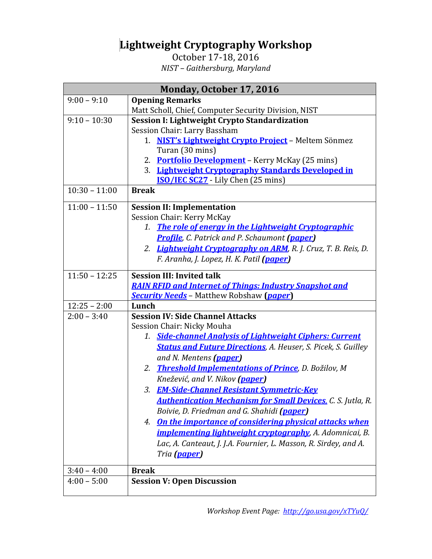## **Lightweight Cryptography Workshop**

October 17-18, 2016 *NIST – Gaithersburg, Maryland*

| <b>Monday, October 17, 2016</b> |                                                                       |
|---------------------------------|-----------------------------------------------------------------------|
| $9:00 - 9:10$                   | <b>Opening Remarks</b>                                                |
|                                 | Matt Scholl, Chief, Computer Security Division, NIST                  |
| $9:10 - 10:30$                  | Session I: Lightweight Crypto Standardization                         |
|                                 | Session Chair: Larry Bassham                                          |
|                                 | NIST's Lightweight Crypto Project - Meltem Sönmez<br>1.               |
|                                 | Turan (30 mins)                                                       |
|                                 | 2. Portfolio Development - Kerry McKay (25 mins)                      |
|                                 | 3. Lightweight Cryptography Standards Developed in                    |
|                                 | <b>ISO/IEC SC27</b> - Lily Chen (25 mins)                             |
| $10:30 - 11:00$                 | <b>Break</b>                                                          |
| $11:00 - 11:50$                 | <b>Session II: Implementation</b>                                     |
|                                 | Session Chair: Kerry McKay                                            |
|                                 | <b>The role of energy in the Lightweight Cryptographic</b><br>1.      |
|                                 | <b>Profile</b> , C. Patrick and P. Schaumont (paper)                  |
|                                 | 2. Lightweight Cryptography on ARM, R. J. Cruz, T. B. Reis, D.        |
|                                 | F. Aranha, J. Lopez, H. K. Patil (paper)                              |
| $11:50 - 12:25$                 | <b>Session III: Invited talk</b>                                      |
|                                 | <b>RAIN RFID and Internet of Things: Industry Snapshot and</b>        |
|                                 | <b>Security Needs</b> - Matthew Robshaw ( <i>paper</i> )              |
| $12:25 - 2:00$                  | Lunch                                                                 |
| $2:00 - 3:40$                   | <b>Session IV: Side Channel Attacks</b>                               |
|                                 | Session Chair: Nicky Mouha                                            |
|                                 | <b>Side-channel Analysis of Lightweight Ciphers: Current</b><br>1.    |
|                                 | <b>Status and Future Directions</b> , A. Heuser, S. Picek, S. Guilley |
|                                 | and N. Mentens (paper)                                                |
|                                 | 2. Threshold Implementations of Prince, D. Božilov, M                 |
|                                 | Knežević, and V. Nikov (paper)                                        |
|                                 | 3. EM-Side-Channel Resistant Symmetric-Key                            |
|                                 | <b>Authentication Mechanism for Small Devices.</b> C. S. Jutla, R.    |
|                                 | Boivie, D. Friedman and G. Shahidi (paper)                            |
|                                 | 4. On the importance of considering physical attacks when             |
|                                 | <i>implementing lightweight cryptography</i> , A. Adomnicai, B.       |
|                                 | Lac, A. Canteaut, J. J.A. Fournier, L. Masson, R. Sirdey, and A.      |
|                                 | Tria (paper)                                                          |
|                                 |                                                                       |
| $3:40 - 4:00$                   | <b>Break</b>                                                          |
| $4:00 - 5:00$                   | <b>Session V: Open Discussion</b>                                     |
|                                 |                                                                       |